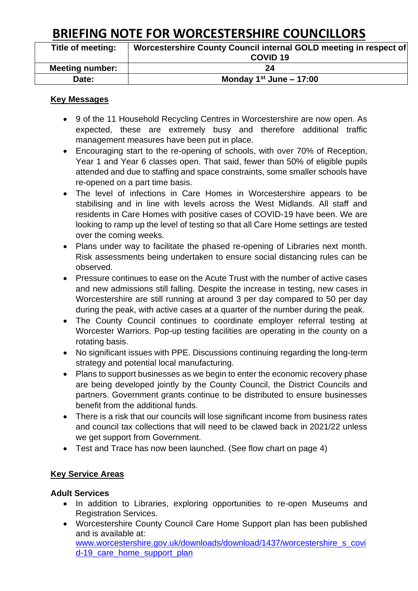| Title of meeting:      | Worcestershire County Council internal GOLD meeting in respect of |
|------------------------|-------------------------------------------------------------------|
|                        | COVID <sub>19</sub>                                               |
| <b>Meeting number:</b> | 24                                                                |
| Date:                  | Monday $1st$ June – 17:00                                         |

#### **Key Messages**

- 9 of the 11 Household Recycling Centres in Worcestershire are now open. As expected, these are extremely busy and therefore additional traffic management measures have been put in place.
- Encouraging start to the re-opening of schools, with over 70% of Reception, Year 1 and Year 6 classes open. That said, fewer than 50% of eligible pupils attended and due to staffing and space constraints, some smaller schools have re-opened on a part time basis.
- The level of infections in Care Homes in Worcestershire appears to be stabilising and in line with levels across the West Midlands. All staff and residents in Care Homes with positive cases of COVID-19 have been. We are looking to ramp up the level of testing so that all Care Home settings are tested over the coming weeks.
- Plans under way to facilitate the phased re-opening of Libraries next month. Risk assessments being undertaken to ensure social distancing rules can be observed.
- Pressure continues to ease on the Acute Trust with the number of active cases and new admissions still falling. Despite the increase in testing, new cases in Worcestershire are still running at around 3 per day compared to 50 per day during the peak, with active cases at a quarter of the number during the peak.
- The County Council continues to coordinate employer referral testing at Worcester Warriors. Pop-up testing facilities are operating in the county on a rotating basis.
- No significant issues with PPE. Discussions continuing regarding the long-term strategy and potential local manufacturing.
- Plans to support businesses as we begin to enter the economic recovery phase are being developed jointly by the County Council, the District Councils and partners. Government grants continue to be distributed to ensure businesses benefit from the additional funds.
- There is a risk that our councils will lose significant income from business rates and council tax collections that will need to be clawed back in 2021/22 unless we get support from Government.
- Test and Trace has now been launched. (See flow chart on page 4)

#### **Key Service Areas**

#### **Adult Services**

- In addition to Libraries, exploring opportunities to re-open Museums and Registration Services.
- Worcestershire County Council Care Home Support plan has been published and is available at: [www.worcestershire.gov.uk/downloads/download/1437/worcestershire\\_s\\_covi](http://www.worcestershire.gov.uk/downloads/download/1437/worcestershire_s_covid-19_care_home_support_plan)

d-19 care home support plan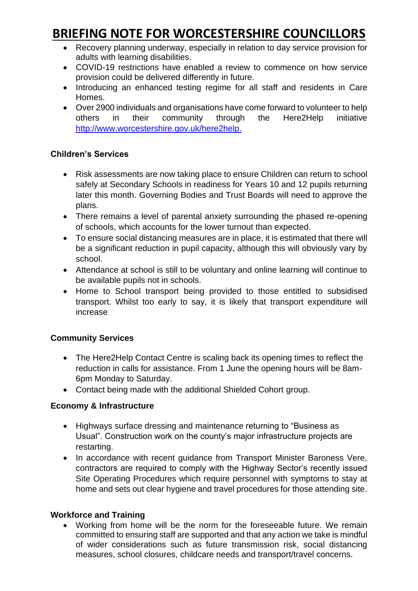- Recovery planning underway, especially in relation to day service provision for adults with learning disabilities.
- COVID-19 restrictions have enabled a review to commence on how service provision could be delivered differently in future.
- Introducing an enhanced testing regime for all staff and residents in Care Homes.
- Over 2900 individuals and organisations have come forward to volunteer to help others in their community through the Here2Help initiative [http://www.worcestershire.gov.uk/here2help.](http://www.worcestershire.gov.uk/here2help)

### **Children's Services**

- Risk assessments are now taking place to ensure Children can return to school safely at Secondary Schools in readiness for Years 10 and 12 pupils returning later this month. Governing Bodies and Trust Boards will need to approve the plans.
- There remains a level of parental anxiety surrounding the phased re-opening of schools, which accounts for the lower turnout than expected.
- To ensure social distancing measures are in place, it is estimated that there will be a significant reduction in pupil capacity, although this will obviously vary by school.
- Attendance at school is still to be voluntary and online learning will continue to be available pupils not in schools.
- Home to School transport being provided to those entitled to subsidised transport. Whilst too early to say, it is likely that transport expenditure will increase

### **Community Services**

- The Here2Help Contact Centre is scaling back its opening times to reflect the reduction in calls for assistance. From 1 June the opening hours will be 8am-6pm Monday to Saturday.
- Contact being made with the additional Shielded Cohort group.

#### **Economy & Infrastructure**

- Highways surface dressing and maintenance returning to "Business as Usual". Construction work on the county's major infrastructure projects are restarting.
- In accordance with recent guidance from Transport Minister Baroness Vere, contractors are required to comply with the Highway Sector's recently issued Site Operating Procedures which require personnel with symptoms to stay at home and sets out clear hygiene and travel procedures for those attending site.

#### **Workforce and Training**

• Working from home will be the norm for the foreseeable future. We remain committed to ensuring staff are supported and that any action we take is mindful of wider considerations such as future transmission risk, social distancing measures, school closures, childcare needs and transport/travel concerns.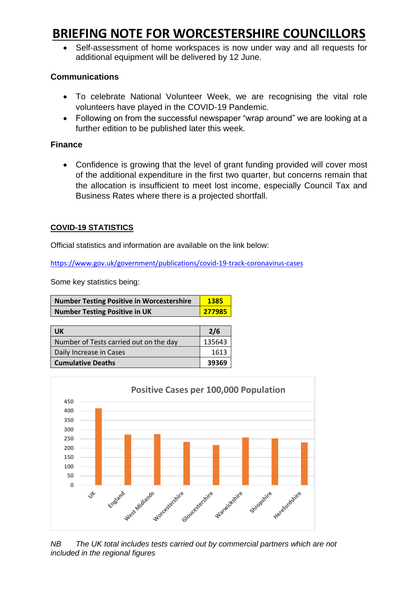• Self-assessment of home workspaces is now under way and all requests for additional equipment will be delivered by 12 June.

#### **Communications**

- To celebrate National Volunteer Week, we are recognising the vital role volunteers have played in the COVID-19 Pandemic.
- Following on from the successful newspaper "wrap around" we are looking at a further edition to be published later this week.

### **Finance**

• Confidence is growing that the level of grant funding provided will cover most of the additional expenditure in the first two quarter, but concerns remain that the allocation is insufficient to meet lost income, especially Council Tax and Business Rates where there is a projected shortfall.

### **COVID-19 STATISTICS**

Official statistics and information are available on the link below:

<https://www.gov.uk/government/publications/covid-19-track-coronavirus-cases>

Some key statistics being:

| <b>Number Testing Positive in Worcestershire</b> | 1385   |
|--------------------------------------------------|--------|
| <b>Number Testing Positive in UK</b>             | 277985 |

| <b>UK</b>                              | 2/6    |
|----------------------------------------|--------|
| Number of Tests carried out on the day | 135643 |
| Daily Increase in Cases                | 1613   |
| <b>Cumulative Deaths</b>               | 39369  |